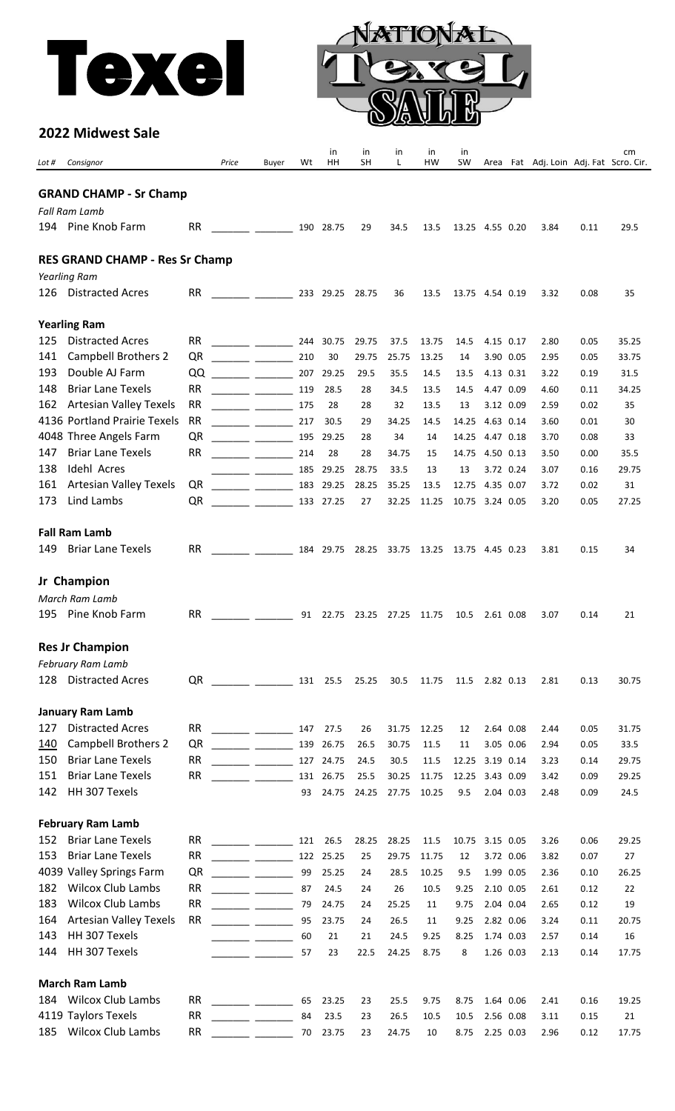



## **2022 Midwest Sale**

| Lot # | Consignor                                            |                 | Price | Buyer                                                                                                                                                                                                                                                                                                                                                                                                                                                                                          | Wt       | in<br>HH      | in<br><b>SH</b> | in<br>L                    | in<br>HW                                    | in<br><b>SW</b> |                        |           | Area Fat Adj. Loin Adj. Fat Scro. Cir. |              | cm       |
|-------|------------------------------------------------------|-----------------|-------|------------------------------------------------------------------------------------------------------------------------------------------------------------------------------------------------------------------------------------------------------------------------------------------------------------------------------------------------------------------------------------------------------------------------------------------------------------------------------------------------|----------|---------------|-----------------|----------------------------|---------------------------------------------|-----------------|------------------------|-----------|----------------------------------------|--------------|----------|
|       |                                                      |                 |       |                                                                                                                                                                                                                                                                                                                                                                                                                                                                                                |          |               |                 |                            |                                             |                 |                        |           |                                        |              |          |
|       | <b>GRAND CHAMP - Sr Champ</b>                        |                 |       |                                                                                                                                                                                                                                                                                                                                                                                                                                                                                                |          |               |                 |                            |                                             |                 |                        |           |                                        |              |          |
|       | <b>Fall Ram Lamb</b>                                 |                 |       |                                                                                                                                                                                                                                                                                                                                                                                                                                                                                                |          |               |                 |                            |                                             |                 |                        |           |                                        |              |          |
|       | 194 Pine Knob Farm                                   | <b>RR</b>       |       |                                                                                                                                                                                                                                                                                                                                                                                                                                                                                                |          | 190 28.75     | 29              | 34.5                       | 13.5                                        | 13.25 4.55 0.20 |                        |           | 3.84                                   | 0.11         | 29.5     |
|       |                                                      |                 |       |                                                                                                                                                                                                                                                                                                                                                                                                                                                                                                |          |               |                 |                            |                                             |                 |                        |           |                                        |              |          |
|       | <b>RES GRAND CHAMP - Res Sr Champ</b>                |                 |       |                                                                                                                                                                                                                                                                                                                                                                                                                                                                                                |          |               |                 |                            |                                             |                 |                        |           |                                        |              |          |
|       | Yearling Ram                                         |                 |       |                                                                                                                                                                                                                                                                                                                                                                                                                                                                                                |          |               |                 |                            |                                             |                 |                        |           |                                        |              |          |
| 126   | <b>Distracted Acres</b>                              | <b>RR</b>       |       | $\frac{1}{2}$ 233 29.25 28.75                                                                                                                                                                                                                                                                                                                                                                                                                                                                  |          |               |                 | 36                         | 13.5                                        | 13.75 4.54 0.19 |                        |           | 3.32                                   | 0.08         | 35       |
|       | <b>Yearling Ram</b>                                  |                 |       |                                                                                                                                                                                                                                                                                                                                                                                                                                                                                                |          |               |                 |                            |                                             |                 |                        |           |                                        |              |          |
| 125   | <b>Distracted Acres</b>                              | <b>RR</b>       |       | $\begin{tabular}{ll} \multicolumn{3}{c} {\textbf{1}} & \multicolumn{3}{c} {\textbf{2}} & \multicolumn{3}{c} {\textbf{3}} & \multicolumn{3}{c} {\textbf{4}} \\ \multicolumn{3}{c} {\textbf{1}} & \multicolumn{3}{c} {\textbf{2}} & \multicolumn{3}{c} {\textbf{3}} & \multicolumn{3}{c} {\textbf{4}} & \multicolumn{3}{c} {\textbf{5}} \\ \multicolumn{3}{c} {\textbf{1}} & \multicolumn{3}{c} {\textbf{1}} & \multicolumn{3}{c} {\textbf{2}} & \multicolumn{3}{c} {\textbf{3}} & \multicolumn$ |          | 244 30.75     | 29.75           | 37.5                       | 13.75                                       | 14.5            | 4.15 0.17              |           | 2.80                                   | 0.05         | 35.25    |
| 141   | <b>Campbell Brothers 2</b>                           | QR              |       |                                                                                                                                                                                                                                                                                                                                                                                                                                                                                                | 210      | 30            | 29.75           | 25.75                      | 13.25                                       | 14              |                        | 3.90 0.05 | 2.95                                   | 0.05         | 33.75    |
| 193   | Double AJ Farm                                       | QQ              |       |                                                                                                                                                                                                                                                                                                                                                                                                                                                                                                | 207      | 29.25         | 29.5            | 35.5                       | 14.5                                        | 13.5            | 4.13 0.31              |           | 3.22                                   | 0.19         | 31.5     |
| 148   | <b>Briar Lane Texels</b>                             | <b>RR</b>       |       |                                                                                                                                                                                                                                                                                                                                                                                                                                                                                                | 119      | 28.5          | 28              | 34.5                       | 13.5                                        | 14.5            | 4.47 0.09              |           | 4.60                                   | 0.11         | 34.25    |
| 162   | <b>Artesian Valley Texels</b>                        | <b>RR</b>       |       |                                                                                                                                                                                                                                                                                                                                                                                                                                                                                                | 175      | 28            | 28              | 32                         | 13.5                                        | 13              | 3.12 0.09              |           | 2.59                                   | 0.02         | 35       |
|       | 4136 Portland Prairie Texels                         | <b>RR</b>       |       |                                                                                                                                                                                                                                                                                                                                                                                                                                                                                                | 217      | 30.5          | 29              | 34.25                      | 14.5                                        | 14.25           | 4.63 0.14              |           | 3.60                                   | 0.01         | 30       |
|       | 4048 Three Angels Farm                               | QR              |       |                                                                                                                                                                                                                                                                                                                                                                                                                                                                                                | 195      | 29.25         | 28              | 34                         | 14                                          | 14.25           | 4.47 0.18              |           | 3.70                                   | 0.08         | 33       |
| 147   | <b>Briar Lane Texels</b>                             | <b>RR</b>       |       |                                                                                                                                                                                                                                                                                                                                                                                                                                                                                                | 214      | 28            | 28              | 34.75                      | 15                                          | 14.75           | 4.50 0.13              |           | 3.50                                   | 0.00         | 35.5     |
| 138   | <b>Idehl Acres</b>                                   |                 |       | <u> 1999 - Johann Barnett, fransk politiker (</u>                                                                                                                                                                                                                                                                                                                                                                                                                                              | 185      | 29.25         | 28.75           | 33.5                       | 13                                          | 13              |                        | 3.72 0.24 | 3.07                                   | 0.16         | 29.75    |
| 161   | <b>Artesian Valley Texels</b>                        | QR              |       |                                                                                                                                                                                                                                                                                                                                                                                                                                                                                                | 183      | 29.25         | 28.25           | 35.25                      | 13.5                                        | 12.75           | 4.35 0.07              |           | 3.72                                   | 0.02         | 31       |
| 173   | Lind Lambs                                           | QR              |       | <u> 1999 - John Harry Harry Harry Harry Harry Harry Harry Harry Harry Harry Harry Harry Harry Harry Harry Harry H</u>                                                                                                                                                                                                                                                                                                                                                                          |          | 133 27.25     | 27              | 32.25                      | 11.25                                       | 10.75 3.24 0.05 |                        |           | 3.20                                   | 0.05         | 27.25    |
|       | <b>Fall Ram Lamb</b>                                 |                 |       |                                                                                                                                                                                                                                                                                                                                                                                                                                                                                                |          |               |                 |                            |                                             |                 |                        |           |                                        |              |          |
| 149   | <b>Briar Lane Texels</b>                             | <b>RR</b>       |       | <u> Tanzania (Tanzania)</u>                                                                                                                                                                                                                                                                                                                                                                                                                                                                    |          |               |                 |                            | 184 29.75 28.25 33.75 13.25 13.75 4.45 0.23 |                 |                        |           | 3.81                                   | 0.15         | 34       |
|       |                                                      |                 |       |                                                                                                                                                                                                                                                                                                                                                                                                                                                                                                |          |               |                 |                            |                                             |                 |                        |           |                                        |              |          |
|       | Jr Champion                                          |                 |       |                                                                                                                                                                                                                                                                                                                                                                                                                                                                                                |          |               |                 |                            |                                             |                 |                        |           |                                        |              |          |
|       | March Ram Lamb                                       |                 |       |                                                                                                                                                                                                                                                                                                                                                                                                                                                                                                |          |               |                 |                            |                                             |                 |                        |           |                                        |              |          |
| 195   | Pine Knob Farm                                       | <b>RR</b>       |       | $\frac{1}{2}$ and $\frac{1}{2}$ and $\frac{1}{2}$ and $\frac{1}{2}$ and $\frac{1}{2}$ and $\frac{1}{2}$ and $\frac{1}{2}$ and $\frac{1}{2}$ and $\frac{1}{2}$ and $\frac{1}{2}$ and $\frac{1}{2}$ and $\frac{1}{2}$ and $\frac{1}{2}$ and $\frac{1}{2}$ and $\frac{1}{2}$ and $\frac{1}{2}$ a                                                                                                                                                                                                  |          |               |                 | 91 22.75 23.25 27.25 11.75 |                                             | 10.5            | 2.61 0.08              |           | 3.07                                   | 0.14         | 21       |
|       | <b>Res Jr Champion</b>                               |                 |       |                                                                                                                                                                                                                                                                                                                                                                                                                                                                                                |          |               |                 |                            |                                             |                 |                        |           |                                        |              |          |
|       | February Ram Lamb                                    |                 |       |                                                                                                                                                                                                                                                                                                                                                                                                                                                                                                |          |               |                 |                            |                                             |                 |                        |           |                                        |              |          |
| 128   | <b>Distracted Acres</b>                              | QR              |       | $\frac{1}{2}$ . The set of $\frac{1}{2}$ and $\frac{1}{2}$ and $\frac{1}{2}$ and $\frac{1}{2}$ and $\frac{1}{2}$ and $\frac{1}{2}$                                                                                                                                                                                                                                                                                                                                                             |          | 131 25.5      | 25.25           | 30.5                       | 11.75                                       | 11.5            | 2.82 0.13              |           | 2.81                                   | 0.13         | 30.75    |
|       | <b>January Ram Lamb</b>                              |                 |       |                                                                                                                                                                                                                                                                                                                                                                                                                                                                                                |          |               |                 |                            |                                             |                 |                        |           |                                        |              |          |
| 127   | <b>Distracted Acres</b>                              | <b>RR</b>       |       | $\frac{1}{2}$ and $\frac{1}{2}$ and $\frac{1}{2}$ and $\frac{1}{2}$                                                                                                                                                                                                                                                                                                                                                                                                                            | 147      | 27.5          | 26              | 31.75                      | 12.25                                       | 12              |                        | 2.64 0.08 | 2.44                                   | 0.05         | 31.75    |
| 140   | <b>Campbell Brothers 2</b>                           | QR              |       |                                                                                                                                                                                                                                                                                                                                                                                                                                                                                                | 139      | 26.75         | 26.5            | 30.75                      | 11.5                                        | 11              |                        | 3.05 0.06 | 2.94                                   | 0.05         | 33.5     |
| 150   | <b>Briar Lane Texels</b>                             | <b>RR</b>       |       |                                                                                                                                                                                                                                                                                                                                                                                                                                                                                                | 127      | 24.75         | 24.5            | 30.5                       | 11.5                                        | 12.25           | 3.19 0.14              |           | 3.23                                   | 0.14         | 29.75    |
| 151   | <b>Briar Lane Texels</b>                             | <b>RR</b>       |       |                                                                                                                                                                                                                                                                                                                                                                                                                                                                                                | 131      | 26.75         | 25.5            | 30.25                      | 11.75                                       | 12.25           | 3.43 0.09              |           | 3.42                                   | 0.09         | 29.25    |
| 142   | HH 307 Texels                                        |                 |       |                                                                                                                                                                                                                                                                                                                                                                                                                                                                                                | 93       | 24.75         | 24.25           | 27.75                      | 10.25                                       | 9.5             |                        | 2.04 0.03 | 2.48                                   | 0.09         | 24.5     |
|       |                                                      |                 |       |                                                                                                                                                                                                                                                                                                                                                                                                                                                                                                |          |               |                 |                            |                                             |                 |                        |           |                                        |              |          |
|       | <b>February Ram Lamb</b>                             |                 |       |                                                                                                                                                                                                                                                                                                                                                                                                                                                                                                |          |               |                 |                            |                                             |                 |                        |           |                                        |              |          |
| 152   | <b>Briar Lane Texels</b>                             | <b>RR</b>       |       | $\frac{1}{2}$ . The contract of $\frac{1}{2}$ and $\frac{1}{2}$ are contract of $\frac{1}{2}$                                                                                                                                                                                                                                                                                                                                                                                                  | 121      | 26.5          | 28.25           | 28.25                      | 11.5                                        | 10.75           | 3.15 0.05              |           | 3.26                                   | 0.06         | 29.25    |
| 153   | <b>Briar Lane Texels</b>                             | <b>RR</b>       |       |                                                                                                                                                                                                                                                                                                                                                                                                                                                                                                | 122      | 25.25         | 25              | 29.75                      | 11.75                                       | 12              |                        | 3.72 0.06 | 3.82                                   | 0.07         | 27       |
| 182   | 4039 Valley Springs Farm<br><b>Wilcox Club Lambs</b> | QR<br><b>RR</b> |       |                                                                                                                                                                                                                                                                                                                                                                                                                                                                                                | 99<br>87 | 25.25         | 24              | 28.5                       | 10.25                                       | 9.5             |                        | 1.99 0.05 | 2.36                                   | 0.10         | 26.25    |
| 183   | <b>Wilcox Club Lambs</b>                             | <b>RR</b>       |       |                                                                                                                                                                                                                                                                                                                                                                                                                                                                                                | 79       | 24.5<br>24.75 | 24<br>24        | 26<br>25.25                | 10.5<br>11                                  | 9.25<br>9.75    | 2.10 0.05<br>2.04 0.04 |           | 2.61<br>2.65                           | 0.12<br>0.12 | 22<br>19 |
| 164   | <b>Artesian Valley Texels</b>                        | RR              |       |                                                                                                                                                                                                                                                                                                                                                                                                                                                                                                | 95       | 23.75         | 24              | 26.5                       | 11                                          | 9.25            | 2.82 0.06              |           | 3.24                                   | 0.11         | 20.75    |
| 143   | HH 307 Texels                                        |                 |       |                                                                                                                                                                                                                                                                                                                                                                                                                                                                                                | 60       | 21            | 21              | 24.5                       | 9.25                                        | 8.25            | 1.74 0.03              |           | 2.57                                   | 0.14         | 16       |
| 144   | HH 307 Texels                                        |                 |       |                                                                                                                                                                                                                                                                                                                                                                                                                                                                                                | 57       | 23            | 22.5            | 24.25                      | 8.75                                        | 8               |                        | 1.26 0.03 | 2.13                                   | 0.14         | 17.75    |
|       |                                                      |                 |       |                                                                                                                                                                                                                                                                                                                                                                                                                                                                                                |          |               |                 |                            |                                             |                 |                        |           |                                        |              |          |
|       | <b>March Ram Lamb</b>                                |                 |       |                                                                                                                                                                                                                                                                                                                                                                                                                                                                                                |          |               |                 |                            |                                             |                 |                        |           |                                        |              |          |
| 184   | <b>Wilcox Club Lambs</b>                             | <b>RR</b>       |       |                                                                                                                                                                                                                                                                                                                                                                                                                                                                                                | 65       | 23.25         | 23              | 25.5                       | 9.75                                        | 8.75            |                        | 1.64 0.06 | 2.41                                   | 0.16         | 19.25    |
|       | 4119 Taylors Texels                                  | <b>RR</b>       |       | <u> 1999 - Jan Barnett, politik e</u>                                                                                                                                                                                                                                                                                                                                                                                                                                                          | 84       | 23.5          | 23              | 26.5                       | 10.5                                        | 10.5            | 2.56 0.08              |           | 3.11                                   | 0.15         | 21       |
| 185   | Wilcox Club Lambs                                    | <b>RR</b>       |       |                                                                                                                                                                                                                                                                                                                                                                                                                                                                                                | 70       | 23.75         | 23              | 24.75                      | 10                                          | 8.75            | 2.25 0.03              |           | 2.96                                   | 0.12         | 17.75    |